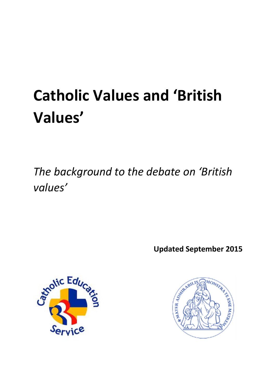# **Catholic Values and 'British Values'**

*The background to the debate on 'British values'*

**Updated September 2015**



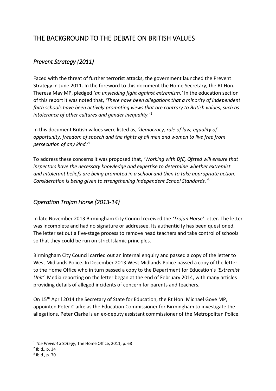## THE BACKGROUND TO THE DEBATE ON BRITISH VALUES

### *Prevent Strategy (2011)*

Faced with the threat of further terrorist attacks, the government launched the Prevent Strategy in June 2011. In the foreword to this document the Home Secretary, the Rt Hon. Theresa May MP, pledged *'an unyielding fight against extremism.'* In the education section of this report it was noted that, *'There have been allegations that a minority of independent faith schools have been actively promoting views that are contrary to British values, such as intolerance of other cultures and gender inequality.'* 1

In this document British values were listed as, *'democracy, rule of law, equality of opportunity, freedom of speech and the rights of all men and women to live free from persecution of any kind.'* 2

To address these concerns it was proposed that, *'Working with DfE, Ofsted will ensure that inspectors have the necessary knowledge and expertise to determine whether extremist and intolerant beliefs are being promoted in a school and then to take appropriate action. Consideration is being given to strengthening Independent School Standards.'* 3

#### *Operation Trojan Horse (2013-14)*

In late November 2013 Birmingham City Council received the *'Trojan Horse'* letter. The letter was incomplete and had no signature or addressee. Its authenticity has been questioned. The letter set out a five-stage process to remove head teachers and take control of schools so that they could be run on strict Islamic principles.

Birmingham City Council carried out an internal enquiry and passed a copy of the letter to West Midlands Police. In December 2013 West Midlands Police passed a copy of the letter to the Home Office who in turn passed a copy to the Department for Education's *'Extremist Unit'*. Media reporting on the letter began at the end of February 2014, with many articles providing details of alleged incidents of concern for parents and teachers.

On 15th April 2014 the Secretary of State for Education, the Rt Hon. Michael Gove MP, appointed Peter Clarke as the Education Commissioner for Birmingham to investigate the allegations. Peter Clarke is an ex-deputy assistant commissioner of the Metropolitan Police.

**.** 

<sup>1</sup> *The Prevent Strategy*, The Home Office, 2011, p. 68

<sup>2</sup> Ibid., p. 34

<sup>3</sup> Ibid., p. 70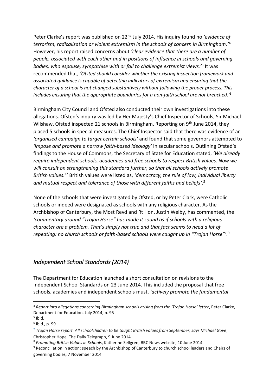Peter Clarke's report was published on 22nd July 2014. His inquiry found no *'evidence of terrorism, radicalisation or violent extremism in the schools of concern in Birmingham.'* 4 However, his report raised concerns about *'clear evidence that there are a number of people, associated with each other and in positions of influence in schools and governing bodies, who espouse, sympathise with or fail to challenge extremist views.'* 5 It was recommended that, *'Ofsted should consider whether the existing inspection framework and associated guidance is capable of detecting indicators of extremism and ensuring that the character of a school is not changed substantively without following the proper process. This includes ensuring that the appropriate boundaries for a non-faith school are not breached.'* 6

Birmingham City Council and Ofsted also conducted their own investigations into these allegations. Ofsted's inquiry was led by Her Majesty's Chief Inspector of Schools, Sir Michael Wilshaw. Ofsted inspected 21 schools in Birmingham. Reporting on 9<sup>th</sup> June 2014, they placed 5 schools in special measures. The Chief Inspector said that there was evidence of an *'organised campaign to target certain schools'* and found that some governors attempted to *'impose and promote a narrow faith-based ideology'* in secular schools. Outlining Ofsted's findings to the House of Commons, the Secretary of State for Education stated, *'We already require independent schools, academies and free schools to respect British values. Now we will consult on strengthening this standard further, so that all schools actively promote*  British values.<sup>7</sup> British values were listed as, '*democracy, the rule of law, individual liberty and mutual respect and tolerance of those with different faiths and beliefs'*. 8

None of the schools that were investigated by Ofsted, or by Peter Clark, were Catholic schools or indeed were designated as schools with any religious character. As the Archbishop of Canterbury, the Most Revd and Rt Hon. Justin Welby, has commented, the *'commentary around "Trojan Horse" has made it sound as if schools with a religious character are a problem. That's simply not true and that fact seems to need a lot of repeating: no church schools or faith-based schools were caught up in "Trojan Horse"'*. 9

#### *Independent School Standards (2014)*

The Department for Education launched a short consultation on revisions to the Independent School Standards on 23 June 2014. This included the proposal that free schools, academies and independent schools must, *'actively promote the fundamental* 

**.** 

<sup>4</sup> *Report into allegations concerning Birmingham schools arising from the 'Trojan Horse' letter*, Peter Clarke, Department for Education, July 2014, p. 95

<sup>5</sup> Ibid.

<sup>6</sup> Ibid., p. 99

<sup>7</sup> *Trojan Horse report: All schoolchildren to be taught British values from September, says Michael Gove*, Christopher Hope, The Daily Telegraph, 9 June 2014

<sup>8</sup> *Promoting British Values in Schools*, Katherine Sellgren, BBC News website, 10 June 2014

<sup>9</sup> Reconciliation in action: speech by the Archbishop of Canterbury to church school leaders and Chairs of governing bodies, 7 November 2014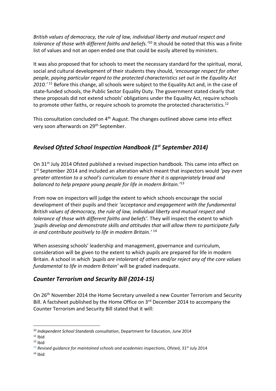*British values of democracy, the rule of law, individual liberty and mutual respect and*  tolerance of those with different faiths and beliefs.<sup>110</sup> It should be noted that this was a finite list of values and not an open ended one that could be easily altered by ministers.

It was also proposed that for schools to meet the necessary standard for the spiritual, moral, social and cultural development of their students they should, *'encourage respect for other people, paying particular regard to the protected characteristics set out in the Equality Act 2010.'* <sup>11</sup> Before this change, all schools were subject to the Equality Act and, in the case of state-funded schools, the Public Sector Equality Duty. The government stated clearly that these proposals did not extend schools' obligations under the Equality Act, require schools to promote other faiths, or require schools to promote the protected characteristics.<sup>12</sup>

This consultation concluded on 4<sup>th</sup> August. The changes outlined above came into effect very soon afterwards on 29<sup>th</sup> September.

#### *Revised Ofsted School Inspection Handbook (1st September 2014)*

On 31<sup>st</sup> July 2014 Ofsted published a revised inspection handbook. This came into effect on 1 st September 2014 and included an alteration which meant that inspectors would *'pay even greater attention to a school's curriculum to ensure that it is appropriately broad and balanced to help prepare young people for life in modern Britain.'* 13

From now on inspectors will judge the extent to which schools encourage the social development of their pupils and their *'acceptance and engagement with the fundamental British values of democracy, the rule of law, individual liberty and mutual respect and tolerance of those with different faiths and beliefs'*. They will inspect the extent to which *'pupils develop and demonstrate skills and attitudes that will allow them to participate fully in and contribute positively to life in modern Britain.'* 14

When assessing schools' leadership and management, governance and curriculum, consideration will be given to the extent to which pupils are prepared for life in modern Britain. A school in which *'pupils are intolerant of others and/or reject any of the core values fundamental to life in modern Britain'* will be graded inadequate.

#### *Counter Terrorism and Security Bill (2014-15)*

On 26th November 2014 the Home Secretary unveiled a new Counter Terrorism and Security Bill. A factsheet published by the Home Office on 3<sup>rd</sup> December 2014 to accompany the Counter Terrorism and Security Bill stated that it will:

1

<sup>10</sup> *Independent School Standards consultation*, Department for Education, June 2014

 $11$  Ibid

 $12$  Ibid

<sup>&</sup>lt;sup>13</sup> Revised guidance for maintained schools and academies inspections, Ofsted, 31<sup>st</sup> July 2014

 $14$  Ibid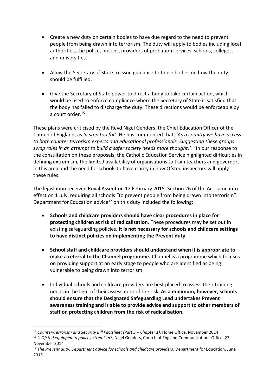- Create a new duty on certain bodies to have due regard to the need to prevent people from being drawn into terrorism. The duty will apply to bodies including local authorities, the police, prisons, providers of probation services, schools, colleges, and universities.
- Allow the Secretary of State to issue guidance to those bodies on how the duty should be fulfilled.
- Give the Secretary of State power to direct a body to take certain action, which would be used to enforce compliance where the Secretary of State is satisfied that the body has failed to discharge the duty. These directions would be enforceable by a court order.<sup>15</sup>

These plans were criticised by the Revd Nigel Genders, the Chief Education Officer of the Church of England, as *'a step too far'*. He has commented that, *'As a country we have access to both counter terrorism experts and educational professionals. Suggesting these groups swap roles in an attempt to build a safer society needs more thought.'* <sup>16</sup> In our response to the consultation on these proposals, the Catholic Education Service highlighted difficulties in defining extremism, the limited availability of organisations to train teachers and governors in this area and the need for schools to have clarity in how Ofsted inspectors will apply these rules.

The legislation received Royal Assent on 12 February 2015. Section 26 of the Act came into effect on 1 July, requiring all schools "to prevent people from being drawn into terrorism". Department for Education advice<sup>17</sup> on this duty included the following:

- **Schools and childcare providers should have clear procedures in place for protecting children at risk of radicalisation**. These procedures may be set out in existing safeguarding policies. **It is not necessary for schools and childcare settings to have distinct policies on implementing the Prevent duty.**
- **School staff and childcare providers should understand when it is appropriate to make a referral to the Channel programme.** Channel is a programme which focuses on providing support at an early stage to people who are identified as being vulnerable to being drawn into terrorism.
- Individual schools and childcare providers are best placed to assess their training needs in the light of their assessment of the risk. **As a minimum, however, schools should ensure that the Designated Safeguarding Lead undertakes Prevent awareness training and is able to provide advice and support to other members of staff on protecting children from the risk of radicalisation.**

 $\overline{a}$ <sup>15</sup> *Counter-Terrorism and Security Bill Factsheet (Part 5 – Chapter 1),* Home Office, November 2014

<sup>16</sup> *Is Ofsted equipped to police extremism?,* Nigel Genders, Church of England Communications Office, 27 November 2014

<sup>17</sup> *The Prevent duty: Department advice for schools and childcare providers*, Department for Education, June 2015.